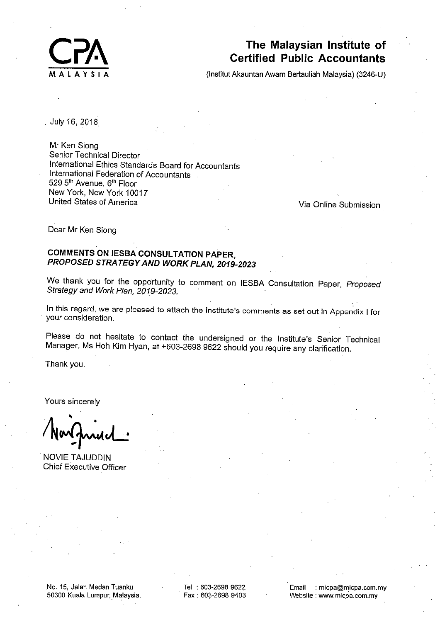

# The Malaysian Institute of **Certified Public Accountants**

(Institut Akauntan Awam Bertauliah Malaysia) (3246-U)

July 16, 2018

Mr Ken Siong Senior Technical Director International Ethics Standards Board for Accountants International Federation of Accountants 529 5<sup>th</sup> Avenue, 6<sup>th</sup> Floor New York, New York 10017 United States of America

Via Online Submission

Dear Mr Ken Siong

## **COMMENTS ON IESBA CONSULTATION PAPER,** PROPOSED STRATEGY AND WORK PLAN, 2019-2023

We thank you for the opportunity to comment on IESBA Consultation Paper, Proposed Strategy and Work Plan, 2019-2023.

In this regard, we are pleased to attach the Institute's comments as set out in Appendix I for your consideration.

Please do not hesitate to contact the undersigned or the Institute's Senior Technical Manager, Ms Hoh Kim Hyan, at +603-2698 9622 should you require any clarification.

Thank you.

Yours sincerely

**NOVIE TAJUDDIN Chief Executive Officer** 

No. 15, Jalan Medan Tuanku 50300 Kuala Lumpur, Malaysia. Tel: 603-2698 9622 Fax: 603-2698 9403 Email : micpa@micpa.com.my Website: www.micpa.com.my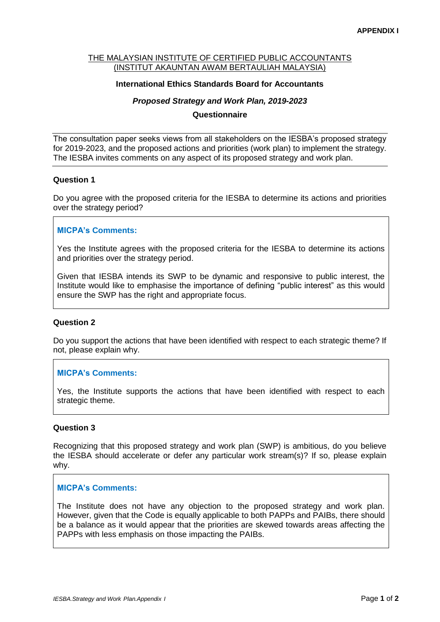#### THE MALAYSIAN INSTITUTE OF CERTIFIED PUBLIC ACCOUNTANTS (INSTITUT AKAUNTAN AWAM BERTAULIAH MALAYSIA)

## **International Ethics Standards Board for Accountants**

## *Proposed Strategy and Work Plan, 2019-2023*

#### **Questionnaire**

The consultation paper seeks views from all stakeholders on the IESBA's proposed strategy for 2019-2023, and the proposed actions and priorities (work plan) to implement the strategy. The IESBA invites comments on any aspect of its proposed strategy and work plan.

## **Question 1**

Do you agree with the proposed criteria for the IESBA to determine its actions and priorities over the strategy period?

## **MICPA's Comments:**

Yes the Institute agrees with the proposed criteria for the IESBA to determine its actions and priorities over the strategy period.

Given that IESBA intends its SWP to be dynamic and responsive to public interest, the Institute would like to emphasise the importance of defining "public interest" as this would ensure the SWP has the right and appropriate focus.

#### **Question 2**

Do you support the actions that have been identified with respect to each strategic theme? If not, please explain why.

#### **MICPA's Comments:**

Yes, the Institute supports the actions that have been identified with respect to each strategic theme.

#### **Question 3**

Recognizing that this proposed strategy and work plan (SWP) is ambitious, do you believe the IESBA should accelerate or defer any particular work stream(s)? If so, please explain why.

#### **MICPA's Comments:**

The Institute does not have any objection to the proposed strategy and work plan. However, given that the Code is equally applicable to both PAPPs and PAIBs, there should be a balance as it would appear that the priorities are skewed towards areas affecting the PAPPs with less emphasis on those impacting the PAIBs.